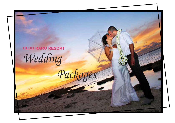**CLUB RARO RESORT** *Wedding Packages*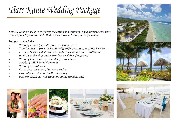*Tiare Kaute Wedding Package*

*A classic wedding package that gives the option of a very simple and intimate ceremony on one of our lagoon side decks that looks out to the beautiful Pacific Ocean.*

*This package includes:*

- *• Wedding on site (Sand deck or Ocean View area)*
- *• Transfers to and from the Registry Office for process of Marriage License*
- *• Marriage License (additional fees apply if license is required within the usual 3 working days and waiver fees available if required)*
- *• Wedding Certificate after wedding is complete*
- *• Supply of a Minister or Celebrant*
- *• Wedding Co-Ordinator*
- *• Floral decorated Arch, Posie and Neck ei*
- *• Music of your selection for the Ceremony*
- *• Bottle of sparkling wine (supplied on the Wedding Day)*









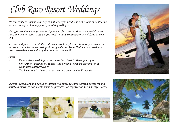*Club Raro Resort Weddings*

*We can easily customise your day to suit what you need it is just a case of contacting us and can begin planning your special day with you.*

*We offer excellent group rates and packages for catering that make weddings run smoothly and without stress all you need to do is concentrate on celebrating your love.*

*So come and join us at Club Raro, it is our absolute pleasure to have you stay with us. We commit to the wellbeing of our guests and know that we can provide a resort experience that simply does not cost the earth!*

## *Note:*

- *• Personalised wedding options may be added to these packages*
- *• For further information, contact the personal wedding coordinator at [weddings@clubraro.co.ck](mailto:weddings@clubraro.co.ck)*
- *• The inclusions in the above packages are on an availability basis.*

*Special Procedures and documentations will apply to some foreign passports and dissolved marriage documents must be provided for registration for marriage license.*